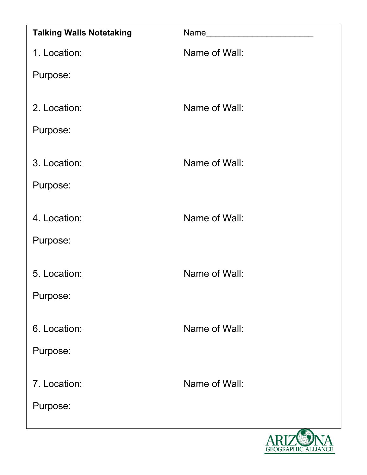| <b>Talking Walls Notetaking</b> | <b>Name</b>   |
|---------------------------------|---------------|
| 1. Location:                    | Name of Wall: |
| Purpose:                        |               |
| 2. Location:                    | Name of Wall: |
| Purpose:                        |               |
| 3. Location:                    | Name of Wall: |
| Purpose:                        |               |
| 4. Location:                    | Name of Wall: |
| Purpose:                        |               |
| 5. Location:                    | Name of Wall: |
| Purpose:                        |               |
| 6. Location:                    | Name of Wall: |
| Purpose:                        |               |
| 7. Location:                    | Name of Wall: |
| Purpose:                        |               |

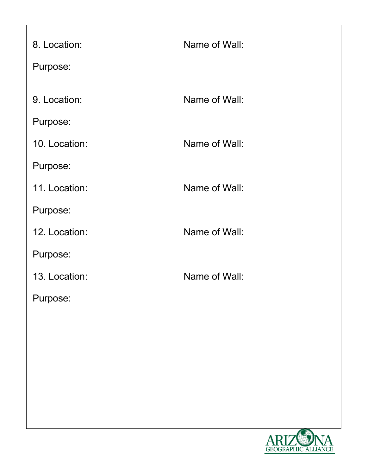| 8. Location:  | Name of Wall: |
|---------------|---------------|
| Purpose:      |               |
|               |               |
| 9. Location:  | Name of Wall: |
| Purpose:      |               |
| 10. Location: | Name of Wall: |
| Purpose:      |               |
| 11. Location: | Name of Wall: |
| Purpose:      |               |
| 12. Location: | Name of Wall: |
| Purpose:      |               |
| 13. Location: | Name of Wall: |
| Purpose:      |               |
|               |               |
|               |               |

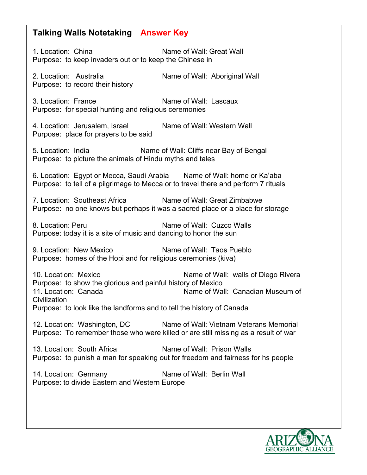## **Talking Walls Notetaking Answer Key**

1. Location: China Name of Wall: Great Wall Purpose: to keep invaders out or to keep the Chinese in 2. Location: Australia Name of Wall: Aboriginal Wall Purpose: to record their history 3. Location: France Name of Wall: Lascaux Purpose: for special hunting and religious ceremonies 4. Location: Jerusalem, Israel Name of Wall: Western Wall Purpose: place for prayers to be said 5. Location: India Name of Wall: Cliffs near Bay of Bengal Purpose: to picture the animals of Hindu myths and tales 6. Location: Egypt or Mecca, Saudi Arabia Name of Wall: home or Ka'aba Purpose: to tell of a pilgrimage to Mecca or to travel there and perform 7 rituals 7. Location: Southeast Africa Name of Wall: Great Zimbabwe Purpose: no one knows but perhaps it was a sacred place or a place for storage 8. Location: Peru Name of Wall: Cuzco Walls Purpose: today it is a site of music and dancing to honor the sun 9. Location: New Mexico Name of Wall: Taos Pueblo Purpose: homes of the Hopi and for religious ceremonies (kiva) 10. Location: Mexico Name of Wall: walls of Diego Rivera Purpose: to show the glorious and painful history of Mexico 11. Location: Canada Name of Wall: Canadian Museum of **Civilization** Purpose: to look like the landforms and to tell the history of Canada 12. Location: Washington, DC Name of Wall: Vietnam Veterans Memorial Purpose: To remember those who were killed or are still missing as a result of war 13. Location: South Africa Name of Wall: Prison Walls Purpose: to punish a man for speaking out for freedom and fairness for hs people 14. Location: Germany Name of Wall: Berlin Wall Purpose: to divide Eastern and Western Europe